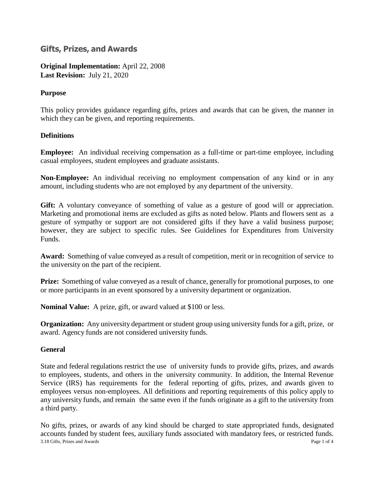# **Gifts, Prizes, and Awards**

**Original Implementation:** April 22, 2008 **Last Revision:** July 21, 2020

# **Purpose**

This policy provides guidance regarding gifts, prizes and awards that can be given, the manner in which they can be given, and reporting requirements.

## **Definitions**

**Employee:** An individual receiving compensation as a full-time or part-time employee, including casual employees, student employees and graduate assistants.

**Non-Employee:** An individual receiving no employment compensation of any kind or in any amount, including students who are not employed by any department of the university.

**Gift:** A voluntary conveyance of something of value as a gesture of good will or appreciation. Marketing and promotional items are excluded as gifts as noted below. Plants and flowers sent as a gesture of sympathy or support are not considered gifts if they have a valid business purpose; however, they are subject to specific rules. See Guidelines for Expenditures from University Funds.

**Award:** Something of value conveyed as a result of competition, merit or in recognition of service to the university on the part of the recipient.

**Prize:** Something of value conveyed as a result of chance, generally for promotional purposes, to one or more participants in an event sponsored by a university department or organization.

**Nominal Value:** A prize, gift, or award valued at \$100 or less.

**Organization:** Any university department or student group using university funds for a gift, prize, or award. Agency funds are not considered university funds.

# **General**

State and federal regulations restrict the use of university funds to provide gifts, prizes, and awards to employees, students, and others in the university community. In addition, the Internal Revenue Service (IRS) has requirements for the federal reporting of gifts, prizes, and awards given to employees versus non-employees. All definitions and reporting requirements of this policy apply to any university funds, and remain the same even if the funds originate as a gift to the university from a third party.

3.18 Gifts, Prizes and Awards Page 1 of 4 No gifts, prizes, or awards of any kind should be charged to state appropriated funds, designated accounts funded by student fees, auxiliary funds associated with mandatory fees, or restricted funds.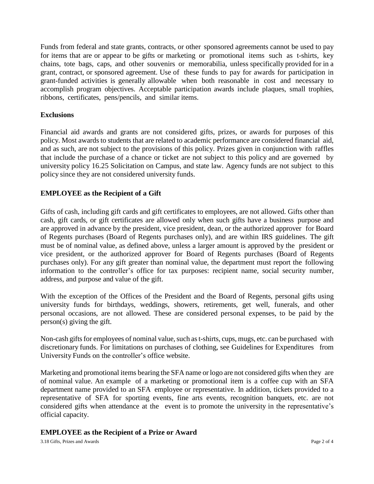Funds from federal and state grants, contracts, or other sponsored agreements cannot be used to pay for items that are or appear to be gifts or marketing or promotional items such as t-shirts, key chains, tote bags, caps, and other souvenirs or memorabilia, unless specifically provided for in a grant, contract, or sponsored agreement. Use of these funds to pay for awards for participation in grant-funded activities is generally allowable when both reasonable in cost and necessary to accomplish program objectives. Acceptable participation awards include plaques, small trophies, ribbons, certificates, pens/pencils, and similar items.

#### **Exclusions**

Financial aid awards and grants are not considered gifts, prizes, or awards for purposes of this policy. Most awards to students that are related to academic performance are considered financial aid, and as such, are not subject to the provisions of this policy. Prizes given in conjunction with raffles that include the purchase of a chance or ticket are not subject to this policy and are governed by university policy 16.25 Solicitation on Campus, and state law. Agency funds are not subject to this policy since they are not considered university funds.

## **EMPLOYEE as the Recipient of a Gift**

Gifts of cash, including gift cards and gift certificates to employees, are not allowed. Gifts other than cash, gift cards, or gift certificates are allowed only when such gifts have a business purpose and are approved in advance by the president, vice president, dean, or the authorized approver for Board of Regents purchases (Board of Regents purchases only), and are within IRS guidelines. The gift must be of nominal value, as defined above, unless a larger amount is approved by the president or vice president, or the authorized approver for Board of Regents purchases (Board of Regents purchases only). For any gift greater than nominal value, the department must report the following information to the controller's office for tax purposes: recipient name, social security number, address, and purpose and value of the gift.

With the exception of the Offices of the President and the Board of Regents, personal gifts using university funds for birthdays, weddings, showers, retirements, get well, funerals, and other personal occasions, are not allowed. These are considered personal expenses, to be paid by the person(s) giving the gift.

Non-cash gifts for employees of nominal value, such as t-shirts, cups, mugs, etc. can be purchased with discretionary funds. For limitations on purchases of clothing, see Guidelines for Expenditures from University Funds on the controller's office website.

Marketing and promotional items bearing the SFA name or logo are not considered gifts when they are of nominal value. An example of a marketing or promotional item is a coffee cup with an SFA department name provided to an SFA employee or representative. In addition, tickets provided to a representative of SFA for sporting events, fine arts events, recognition banquets, etc. are not considered gifts when attendance at the event is to promote the university in the representative's official capacity.

#### **EMPLOYEE as the Recipient of a Prize or Award**

3.18 Gifts, Prizes and Awards Page 2 of 4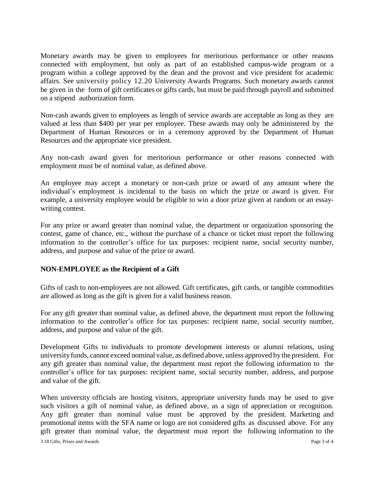Monetary awards may be given to employees for meritorious performance or other reasons connected with employment, but only as part of an established campus-wide program or a program within a college approved by the dean and the provost and vice president for academic affairs. See university policy 12.20 University Awards Programs. Such monetary awards cannot be given in the form of gift certificates or gifts cards, but must be paid through payroll and submitted on a stipend authorization form.

Non-cash awards given to employees as length of service awards are acceptable as long as they are valued at less than \$400 per year per employee. These awards may only be administered by the Department of Human Resources or in a ceremony approved by the Department of Human Resources and the appropriate vice president.

Any non-cash award given for meritorious performance or other reasons connected with employment must be of nominal value, as defined above.

An employee may accept a monetary or non-cash prize or award of any amount where the individual's employment is incidental to the basis on which the prize or award is given. For example, a university employee would be eligible to win a door prize given at random or an essaywriting contest.

For any prize or award greater than nominal value, the department or organization sponsoring the contest, game of chance, etc., without the purchase of a chance or ticket must report the following information to the controller's office for tax purposes: recipient name, social security number, address, and purpose and value of the prize or award.

#### **NON-EMPLOYEE as the Recipient of a Gift**

Gifts of cash to non-employees are not allowed. Gift certificates, gift cards, or tangible commodities are allowed as long as the gift is given for a valid business reason.

For any gift greater than nominal value, as defined above, the department must report the following information to the controller's office for tax purposes: recipient name, social security number, address, and purpose and value of the gift.

Development Gifts to individuals to promote development interests or alumni relations, using universityfunds, cannot exceed nominal value, as defined above, unless approved bythe president. For any gift greater than nominal value, the department must report the following information to the controller's office for tax purposes: recipient name, social security number, address, and purpose and value of the gift.

When university officials are hosting visitors, appropriate university funds may be used to give such visitors a gift of nominal value, as defined above, as a sign of appreciation or recognition. Any gift greater than nominal value must be approved by the president. Marketing and promotional items with the SFA name or logo are not considered gifts as discussed above. For any gift greater than nominal value, the department must report the following information to the